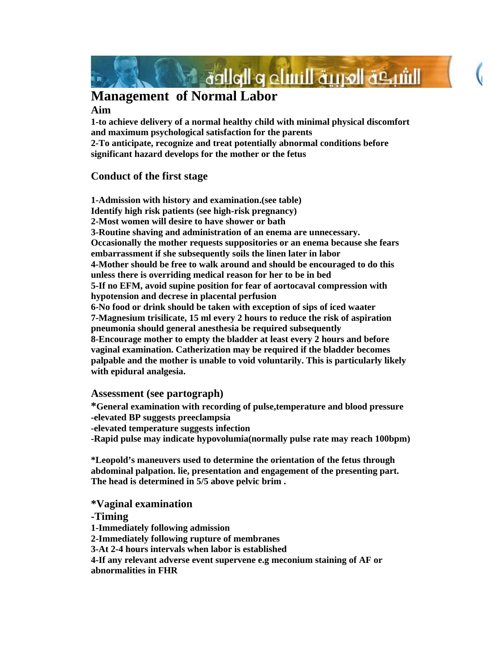

# **Management of Normal Labor**

#### **Aim**

**1-to achieve delivery of a normal healthy child with minimal physical discomfort and maximum psychological satisfaction for the parents 2-To anticipate, recognize and treat potentially abnormal conditions before significant hazard develops for the mother or the fetus** 

## **Conduct of the first stage**

**1-Admission with history and examination.(see table) Identify high risk patients (see high-risk pregnancy) 2-Most women will desire to have shower or bath 3-Routine shaving and administration of an enema are unnecessary. Occasionally the mother requests suppositories or an enema because she fears embarrassment if she subsequently soils the linen later in labor 4-Mother should be free to walk around and should be encouraged to do this unless there is overriding medical reason for her to be in bed 5-If no EFM, avoid supine position for fear of aortocaval compression with hypotension and decrese in placental perfusion 6-No food or drink should be taken with exception of sips of iced waater 7-Magnesium trisilicate, 15 ml every 2 hours to reduce the risk of aspiration pneumonia should general anesthesia be required subsequently 8-Encourage mother to empty the bladder at least every 2 hours and before vaginal examination. Catherization may be required if the bladder becomes palpable and the mother is unable to void voluntarily. This is particularly likely with epidural analgesia.** 

## **Assessment (see partograph)**

**\*General examination with recording of pulse,temperature and blood pressure -elevated BP suggests preeclampsia -elevated temperature suggests infection -Rapid pulse may indicate hypovolumia(normally pulse rate may reach 100bpm)** 

**\*Leopold's maneuvers used to determine the orientation of the fetus through abdominal palpation. lie, presentation and engagement of the presenting part. The head is determined in 5/5 above pelvic brim .** 

**\*Vaginal examination -Timing 1-Immediately following admission 2-Immediately following rupture of membranes 3-At 2-4 hours intervals when labor is established** 

**4-If any relevant adverse event supervene e.g meconium staining of AF or abnormalities in FHR**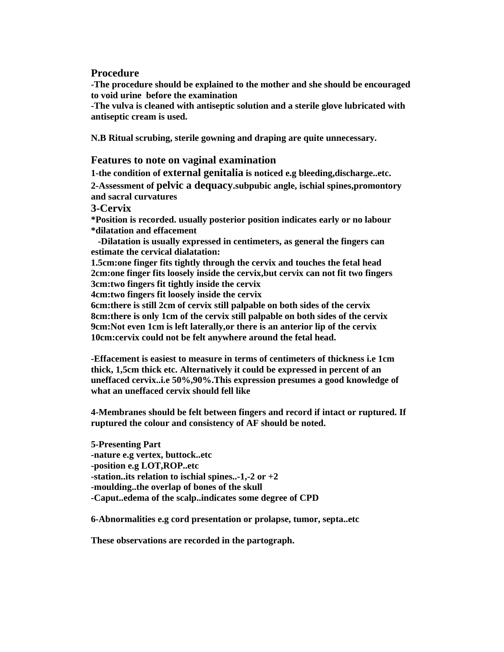#### **Procedure**

**-The procedure should be explained to the mother and she should be encouraged to void urine before the examination** 

**-The vulva is cleaned with antiseptic solution and a sterile glove lubricated with antiseptic cream is used.** 

**N.B Ritual scrubing, sterile gowning and draping are quite unnecessary.** 

#### **Features to note on vaginal examination**

**1-the condition of external genitalia is noticed e.g bleeding,discharge..etc. 2-Assessment of pelvic a dequacy.subpubic angle, ischial spines,promontory and sacral curvatures** 

**3-Cervix** 

**\*Position is recorded. usually posterior position indicates early or no labour \*dilatation and effacement** 

 **-Dilatation is usually expressed in centimeters, as general the fingers can estimate the cervical dialatation:** 

**1.5cm:one finger fits tightly through the cervix and touches the fetal head 2cm:one finger fits loosely inside the cervix,but cervix can not fit two fingers 3cm:two fingers fit tightly inside the cervix** 

**4cm:two fingers fit loosely inside the cervix** 

**6cm:there is still 2cm of cervix still palpable on both sides of the cervix 8cm:there is only 1cm of the cervix still palpable on both sides of the cervix 9cm:Not even 1cm is left laterally,or there is an anterior lip of the cervix 10cm:cervix could not be felt anywhere around the fetal head.** 

**-Effacement is easiest to measure in terms of centimeters of thickness i.e 1cm thick, 1,5cm thick etc. Alternatively it could be expressed in percent of an uneffaced cervix..i.e 50%,90%.This expression presumes a good knowledge of what an uneffaced cervix should fell like** 

**4-Membranes should be felt between fingers and record if intact or ruptured. If ruptured the colour and consistency of AF should be noted.** 

**5-Presenting Part -nature e.g vertex, buttock..etc -position e.g LOT,ROP..etc -station..its relation to ischial spines..-1,-2 or +2 -moulding..the overlap of bones of the skull -Caput..edema of the scalp..indicates some degree of CPD** 

**6-Abnormalities e.g cord presentation or prolapse, tumor, septa..etc** 

**These observations are recorded in the partograph.**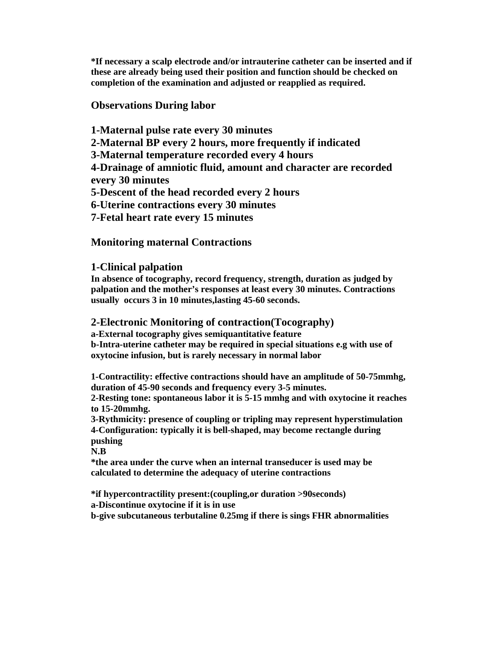**\*If necessary a scalp electrode and/or intrauterine catheter can be inserted and if these are already being used their position and function should be checked on completion of the examination and adjusted or reapplied as required.** 

## **Observations During labor**

**1-Maternal pulse rate every 30 minutes 2-Maternal BP every 2 hours, more frequently if indicated 3-Maternal temperature recorded every 4 hours 4-Drainage of amniotic fluid, amount and character are recorded every 30 minutes 5-Descent of the head recorded every 2 hours 6-Uterine contractions every 30 minutes 7-Fetal heart rate every 15 minutes** 

## **Monitoring maternal Contractions**

## **1-Clinical palpation**

**In absence of tocography, record frequency, strength, duration as judged by palpation and the mother's responses at least every 30 minutes. Contractions usually occurs 3 in 10 minutes,lasting 45-60 seconds.** 

## **2-Electronic Monitoring of contraction(Tocography)**

**a-External tocography gives semiquantitative feature b-Intra-uterine catheter may be required in special situations e.g with use of** 

**oxytocine infusion, but is rarely necessary in normal labor** 

**1-Contractility: effective contractions should have an amplitude of 50-75mmhg, duration of 45-90 seconds and frequency every 3-5 minutes.** 

**2-Resting tone: spontaneous labor it is 5-15 mmhg and with oxytocine it reaches to 15-20mmhg.** 

**3-Rythmicity: presence of coupling or tripling may represent hyperstimulation 4-Configuration: typically it is bell-shaped, may become rectangle during pushing** 

**N.B** 

**\*the area under the curve when an internal transeducer is used may be calculated to determine the adequacy of uterine contractions** 

**\*if hypercontractility present:(coupling,or duration >90seconds) a-Discontinue oxytocine if it is in use b-give subcutaneous terbutaline 0.25mg if there is sings FHR abnormalities**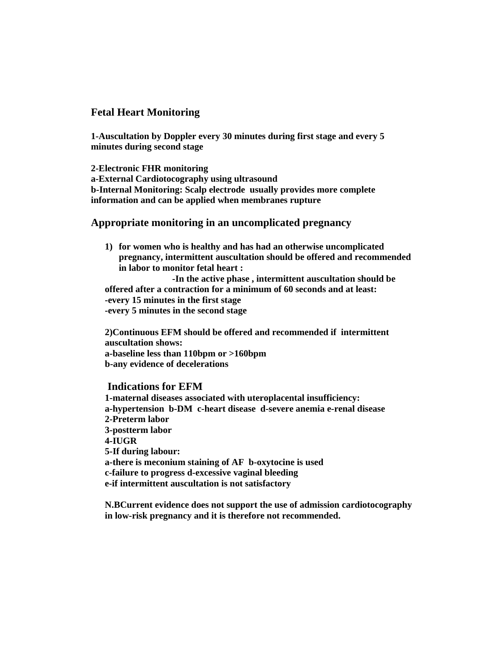## **Fetal Heart Monitoring**

**1-Auscultation by Doppler every 30 minutes during first stage and every 5 minutes during second stage** 

**2-Electronic FHR monitoring a-External Cardiotocography using ultrasound b-Internal Monitoring: Scalp electrode usually provides more complete information and can be applied when membranes rupture** 

## **Appropriate monitoring in an uncomplicated pregnancy**

**1) for women who is healthy and has had an otherwise uncomplicated pregnancy, intermittent auscultation should be offered and recommended in labor to monitor fetal heart :** 

 **-In the active phase , intermittent auscultation should be offered after a contraction for a minimum of 60 seconds and at least: -every 15 minutes in the first stage -every 5 minutes in the second stage** 

**2)Continuous EFM should be offered and recommended if intermittent auscultation shows: a-baseline less than 110bpm or >160bpm b-any evidence of decelerations** 

#### **Indications for EFM**

**1-maternal diseases associated with uteroplacental insufficiency: a-hypertension b-DM c-heart disease d-severe anemia e-renal disease 2-Preterm labor 3-postterm labor 4-IUGR 5-If during labour: a-there is meconium staining of AF b-oxytocine is used c-failure to progress d-excessive vaginal bleeding e-if intermittent auscultation is not satisfactory** 

**N.BCurrent evidence does not support the use of admission cardiotocography in low-risk pregnancy and it is therefore not recommended.**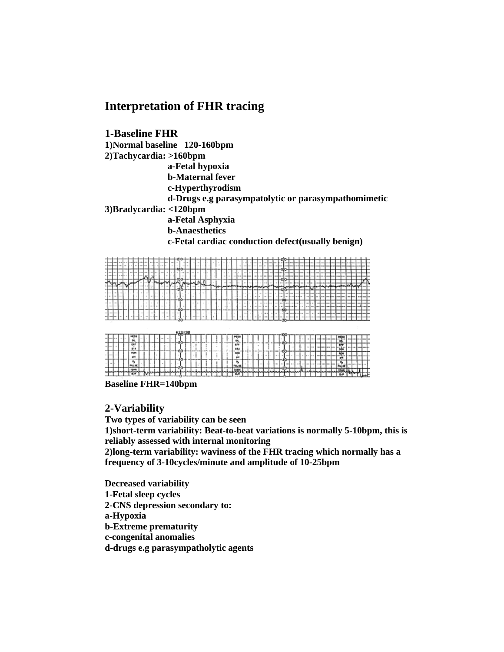## **Interpretation of FHR tracing**

**1-Baseline FHR 1)Normal baseline 120-160bpm 2)Tachycardia: >160bpm a-Fetal hypoxia b-Maternal fever c-Hyperthyrodism d-Drugs e.g parasympatolytic or parasympathomimetic 3)Bradycardia: <120bpm a-Fetal Asphyxia b-Anaesthetics c-Fetal cardiac conduction defect(usually benign)** 



**Baseline FHR=140bpm** 

## **2-Variability**

**Two types of variability can be seen** 

**1)short-term variability: Beat-to-beat variations is normally 5-10bpm, this is reliably assessed with internal monitoring** 

**2)long-term variability: waviness of the FHR tracing which normally has a frequency of 3-10cycles/minute and amplitude of 10-25bpm** 

**Decreased variability 1-Fetal sleep cycles 2-CNS depression secondary to: a-Hypoxia b-Extreme prematurity c-congenital anomalies d-drugs e.g parasympatholytic agents**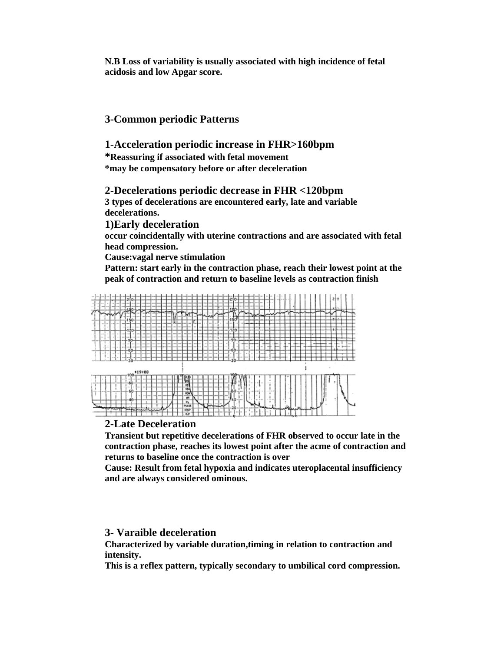**N.B Loss of variability is usually associated with high incidence of fetal acidosis and low Apgar score.** 

## **3-Common periodic Patterns**

#### **1-Acceleration periodic increase in FHR>160bpm**

**\*Reassuring if associated with fetal movement \*may be compensatory before or after deceleration** 

#### **2-Decelerations periodic decrease in FHR <120bpm**

**3 types of decelerations are encountered early, late and variable decelerations.** 

**1)Early deceleration** 

**occur coincidentally with uterine contractions and are associated with fetal head compression.** 

**Cause:vagal nerve stimulation** 

**Pattern: start early in the contraction phase, reach their lowest point at the peak of contraction and return to baseline levels as contraction finish** 



#### **2-Late Deceleration**

**Transient but repetitive decelerations of FHR observed to occur late in the contraction phase, reaches its lowest point after the acme of contraction and returns to baseline once the contraction is over** 

**Cause: Result from fetal hypoxia and indicates uteroplacental insufficiency and are always considered ominous.** 

#### **3- Varaible deceleration**

**Characterized by variable duration,timing in relation to contraction and intensity.** 

**This is a reflex pattern, typically secondary to umbilical cord compression.**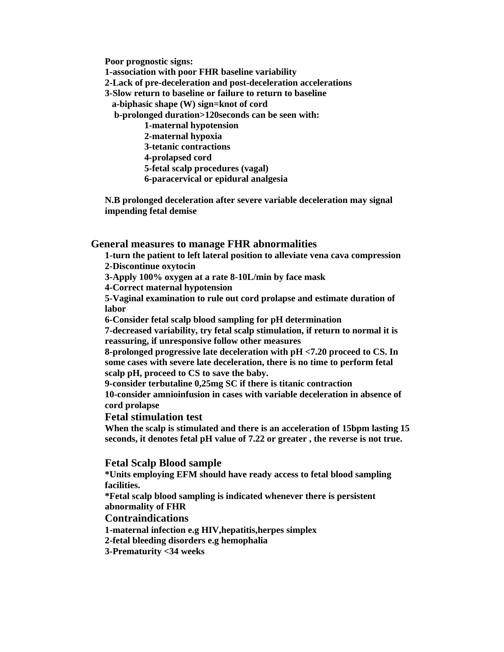**Poor prognostic signs:** 

**1-association with poor FHR baseline variability 2-Lack of pre-deceleration and post-deceleration accelerations 3-Slow return to baseline or failure to return to baseline a-biphasic shape (W) sign=knot of cord b-prolonged duration>120seconds can be seen with: 1-maternal hypotension 2-maternal hypoxia 3-tetanic contractions 4-prolapsed cord 5-fetal scalp procedures (vagal)** 

 **6-paracervical or epidural analgesia** 

**N.B prolonged deceleration after severe variable deceleration may signal impending fetal demise** 

## **General measures to manage FHR abnormalities**

**1-turn the patient to left lateral position to alleviate vena cava compression 2-Discontinue oxytocin** 

**3-Apply 100% oxygen at a rate 8-10L/min by face mask** 

**4-Correct maternal hypotension** 

**5-Vaginal examination to rule out cord prolapse and estimate duration of labor** 

**6-Consider fetal scalp blood sampling for pH determination** 

**7-decreased variability, try fetal scalp stimulation, if return to normal it is reassuring, if unresponsive follow other measures** 

**8-prolonged progressive late deceleration with pH <7.20 proceed to CS. In some cases with severe late deceleration, there is no time to perform fetal scalp pH, proceed to CS to save the baby.** 

**9-consider terbutaline 0,25mg SC if there is titanic contraction 10-consider amnioinfusion in cases with variable deceleration in absence of cord prolapse** 

#### **Fetal stimulation test**

**When the scalp is stimulated and there is an acceleration of 15bpm lasting 15 seconds, it denotes fetal pH value of 7.22 or greater , the reverse is not true.** 

## **Fetal Scalp Blood sample**

**\*Units employing EFM should have ready access to fetal blood sampling facilities. \*Fetal scalp blood sampling is indicated whenever there is persistent abnormality of FHR Contraindications 1-maternal infection e.g HIV,hepatitis,herpes simplex 2-fetal bleeding disorders e.g hemophalia 3-Prematurity <34 weeks**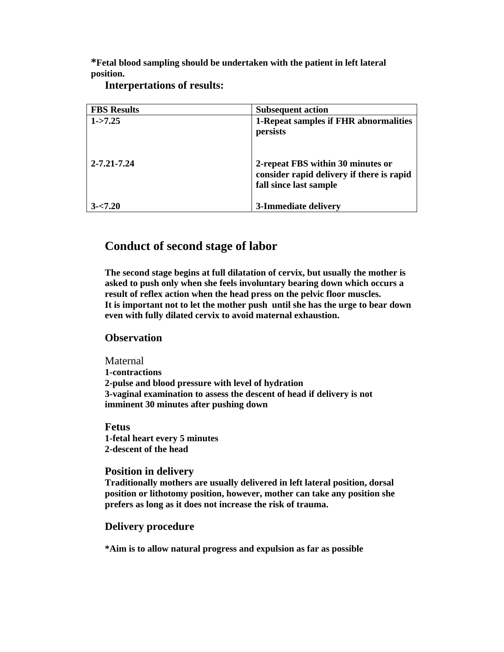**\*Fetal blood sampling should be undertaken with the patient in left lateral position.** 

| <b>FBS</b> Results | <b>Subsequent action</b>                                                                                 |
|--------------------|----------------------------------------------------------------------------------------------------------|
| $1 - 7.25$         | 1-Repeat samples if FHR abnormalities<br>persists                                                        |
| $2 - 7.21 - 7.24$  | 2-repeat FBS within 30 minutes or<br>consider rapid delivery if there is rapid<br>fall since last sample |
| $3 - 7.20$         | 3-Immediate delivery                                                                                     |

**Interpertations of results:** 

## **Conduct of second stage of labor**

**The second stage begins at full dilatation of cervix, but usually the mother is asked to push only when she feels involuntary bearing down which occurs a result of reflex action when the head press on the pelvic floor muscles. It is important not to let the mother push until she has the urge to bear down even with fully dilated cervix to avoid maternal exhaustion.** 

## **Observation**

Maternal **1-contractions 2-pulse and blood pressure with level of hydration 3-vaginal examination to assess the descent of head if delivery is not imminent 30 minutes after pushing down** 

**Fetus 1-fetal heart every 5 minutes 2-descent of the head** 

## **Position in delivery**

**Traditionally mothers are usually delivered in left lateral position, dorsal position or lithotomy position, however, mother can take any position she prefers as long as it does not increase the risk of trauma.** 

## **Delivery procedure**

**\*Aim is to allow natural progress and expulsion as far as possible**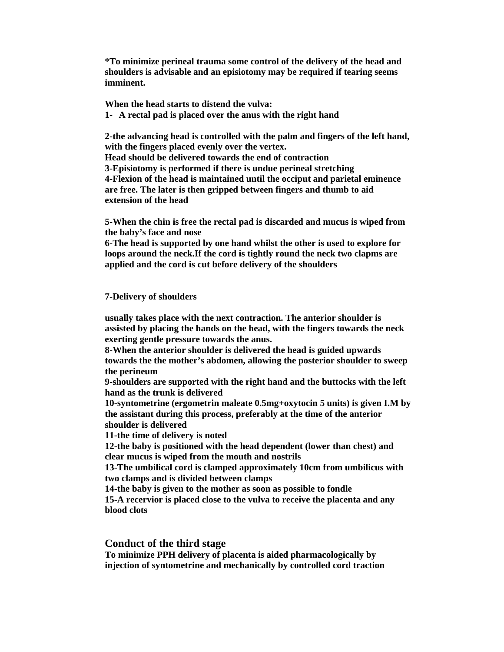**\*To minimize perineal trauma some control of the delivery of the head and shoulders is advisable and an episiotomy may be required if tearing seems imminent.** 

**When the head starts to distend the vulva: 1- A rectal pad is placed over the anus with the right hand** 

**2-the advancing head is controlled with the palm and fingers of the left hand, with the fingers placed evenly over the vertex. Head should be delivered towards the end of contraction 3-Episiotomy is performed if there is undue perineal stretching 4-Flexion of the head is maintained until the occiput and parietal eminence are free. The later is then gripped between fingers and thumb to aid extension of the head** 

**5-When the chin is free the rectal pad is discarded and mucus is wiped from the baby's face and nose** 

**6-The head is supported by one hand whilst the other is used to explore for loops around the neck.If the cord is tightly round the neck two clapms are applied and the cord is cut before delivery of the shoulders** 

#### **7-Delivery of shoulders**

**usually takes place with the next contraction. The anterior shoulder is assisted by placing the hands on the head, with the fingers towards the neck exerting gentle pressure towards the anus.** 

**8-When the anterior shoulder is delivered the head is guided upwards towards the the mother's abdomen, allowing the posterior shoulder to sweep the perineum** 

**9-shoulders are supported with the right hand and the buttocks with the left hand as the trunk is delivered** 

**10-syntometrine (ergometrin maleate 0.5mg+oxytocin 5 units) is given I.M by the assistant during this process, preferably at the time of the anterior shoulder is delivered** 

**11-the time of delivery is noted** 

**12-the baby is positioned with the head dependent (lower than chest) and clear mucus is wiped from the mouth and nostrils** 

**13-The umbilical cord is clamped approximately 10cm from umbilicus with two clamps and is divided between clamps** 

**14-the baby is given to the mother as soon as possible to fondle** 

**15-A recervior is placed close to the vulva to receive the placenta and any blood clots** 

#### **Conduct of the third stage**

**To minimize PPH delivery of placenta is aided pharmacologically by injection of syntometrine and mechanically by controlled cord traction**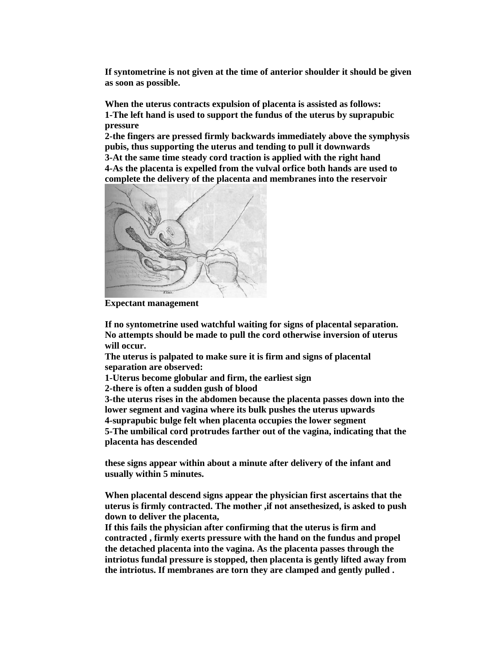**If syntometrine is not given at the time of anterior shoulder it should be given as soon as possible.** 

**When the uterus contracts expulsion of placenta is assisted as follows: 1-The left hand is used to support the fundus of the uterus by suprapubic pressure** 

**2-the fingers are pressed firmly backwards immediately above the symphysis pubis, thus supporting the uterus and tending to pull it downwards 3-At the same time steady cord traction is applied with the right hand** 

**4-As the placenta is expelled from the vulval orfice both hands are used to complete the delivery of the placenta and membranes into the reservoir** 



**Expectant management** 

**If no syntometrine used watchful waiting for signs of placental separation. No attempts should be made to pull the cord otherwise inversion of uterus will occur.** 

**The uterus is palpated to make sure it is firm and signs of placental separation are observed:** 

**1-Uterus become globular and firm, the earliest sign** 

**2-there is often a sudden gush of blood** 

**3-the uterus rises in the abdomen because the placenta passes down into the lower segment and vagina where its bulk pushes the uterus upwards 4-suprapubic bulge felt when placenta occupies the lower segment** 

**5-The umbilical cord protrudes farther out of the vagina, indicating that the placenta has descended** 

**these signs appear within about a minute after delivery of the infant and usually within 5 minutes.** 

**When placental descend signs appear the physician first ascertains that the uterus is firmly contracted. The mother ,if not ansethesized, is asked to push down to deliver the placenta,** 

**If this fails the physician after confirming that the uterus is firm and contracted , firmly exerts pressure with the hand on the fundus and propel the detached placenta into the vagina. As the placenta passes through the intriotus fundal pressure is stopped, then placenta is gently lifted away from the intriotus. If membranes are torn they are clamped and gently pulled .**